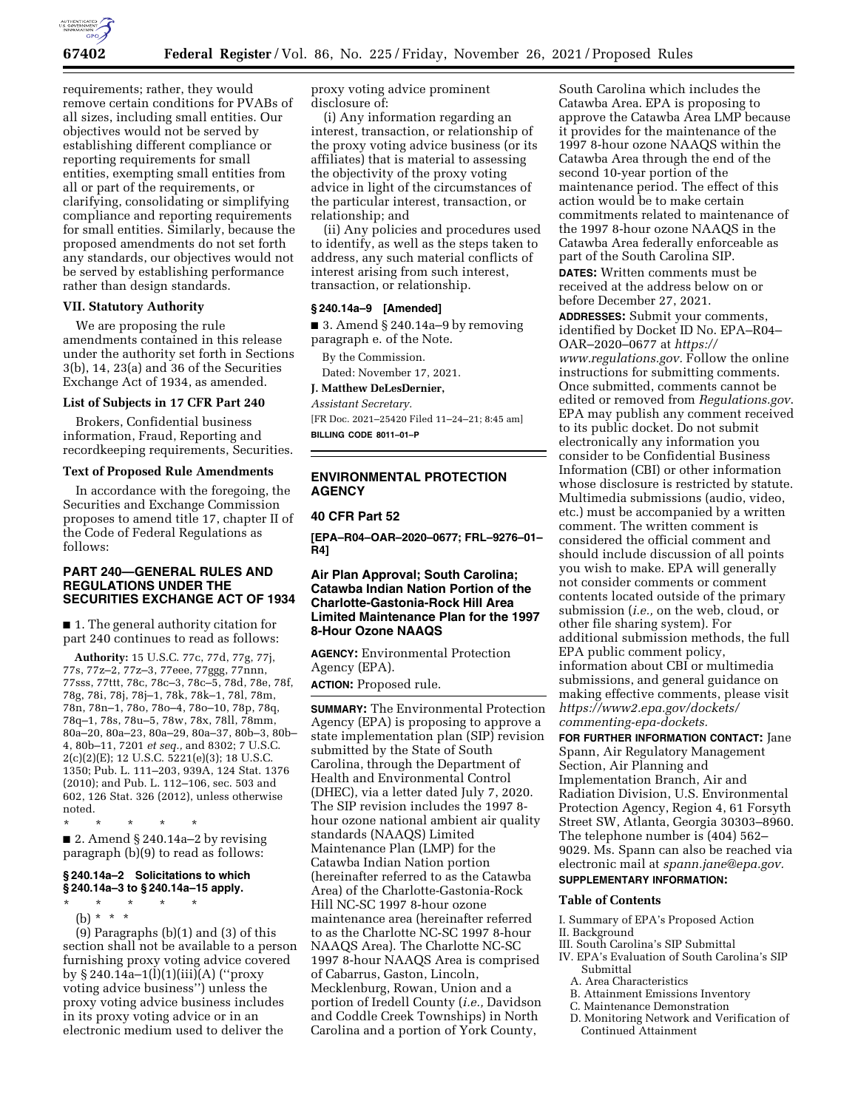

requirements; rather, they would remove certain conditions for PVABs of all sizes, including small entities. Our objectives would not be served by establishing different compliance or reporting requirements for small entities, exempting small entities from all or part of the requirements, or clarifying, consolidating or simplifying compliance and reporting requirements for small entities. Similarly, because the proposed amendments do not set forth any standards, our objectives would not be served by establishing performance rather than design standards.

# **VII. Statutory Authority**

We are proposing the rule amendments contained in this release under the authority set forth in Sections 3(b), 14, 23(a) and 36 of the Securities Exchange Act of 1934, as amended.

## **List of Subjects in 17 CFR Part 240**

Brokers, Confidential business information, Fraud, Reporting and recordkeeping requirements, Securities.

# **Text of Proposed Rule Amendments**

In accordance with the foregoing, the Securities and Exchange Commission proposes to amend title 17, chapter II of the Code of Federal Regulations as follows:

## **PART 240—GENERAL RULES AND REGULATIONS UNDER THE SECURITIES EXCHANGE ACT OF 1934**

■ 1. The general authority citation for part 240 continues to read as follows:

**Authority:** 15 U.S.C. 77c, 77d, 77g, 77j, 77s, 77z–2, 77z–3, 77eee, 77ggg, 77nnn, 77sss, 77ttt, 78c, 78c–3, 78c–5, 78d, 78e, 78f, 78g, 78i, 78j, 78j–1, 78k, 78k–1, 78l, 78m, 78n, 78n–1, 78o, 78o–4, 78o–10, 78p, 78q, 78q–1, 78s, 78u–5, 78w, 78x, 78ll, 78mm, 80a–20, 80a–23, 80a–29, 80a–37, 80b–3, 80b– 4, 80b–11, 7201 *et seq.,* and 8302; 7 U.S.C. 2(c)(2)(E); 12 U.S.C. 5221(e)(3); 18 U.S.C. 1350; Pub. L. 111–203, 939A, 124 Stat. 1376 (2010); and Pub. L. 112–106, sec. 503 and 602, 126 Stat. 326 (2012), unless otherwise noted.

\* \* \* \* \*  $\blacksquare$  2. Amend § 240.14a–2 by revising paragraph (b)(9) to read as follows:

# **§ 240.14a–2 Solicitations to which § 240.14a–3 to § 240.14a–15 apply.**

\* \* \* \* \* (b) \* \* \*

(9) Paragraphs (b)(1) and (3) of this section shall not be available to a person furnishing proxy voting advice covered by § 240.14a–1(l)(1)(iii)(A) (''proxy voting advice business'') unless the proxy voting advice business includes in its proxy voting advice or in an electronic medium used to deliver the

proxy voting advice prominent disclosure of:

(i) Any information regarding an interest, transaction, or relationship of the proxy voting advice business (or its affiliates) that is material to assessing the objectivity of the proxy voting advice in light of the circumstances of the particular interest, transaction, or relationship; and

(ii) Any policies and procedures used to identify, as well as the steps taken to address, any such material conflicts of interest arising from such interest, transaction, or relationship.

# **§ 240.14a–9 [Amended]**

 $\blacksquare$  3. Amend § 240.14a–9 by removing paragraph e. of the Note.

By the Commission.

Dated: November 17, 2021.

# **J. Matthew DeLesDernier,**

*Assistant Secretary.* 

[FR Doc. 2021–25420 Filed 11–24–21; 8:45 am] **BILLING CODE 8011–01–P** 

# **ENVIRONMENTAL PROTECTION AGENCY**

# **40 CFR Part 52**

**[EPA–R04–OAR–2020–0677; FRL–9276–01– R4]** 

# **Air Plan Approval; South Carolina; Catawba Indian Nation Portion of the Charlotte-Gastonia-Rock Hill Area Limited Maintenance Plan for the 1997 8-Hour Ozone NAAQS**

**AGENCY:** Environmental Protection Agency (EPA).

**ACTION:** Proposed rule.

**SUMMARY:** The Environmental Protection Agency (EPA) is proposing to approve a state implementation plan (SIP) revision submitted by the State of South Carolina, through the Department of Health and Environmental Control (DHEC), via a letter dated July 7, 2020. The SIP revision includes the 1997 8 hour ozone national ambient air quality standards (NAAQS) Limited Maintenance Plan (LMP) for the Catawba Indian Nation portion (hereinafter referred to as the Catawba Area) of the Charlotte-Gastonia-Rock Hill NC-SC 1997 8-hour ozone maintenance area (hereinafter referred to as the Charlotte NC-SC 1997 8-hour NAAQS Area). The Charlotte NC-SC 1997 8-hour NAAQS Area is comprised of Cabarrus, Gaston, Lincoln, Mecklenburg, Rowan, Union and a portion of Iredell County (*i.e.,* Davidson and Coddle Creek Townships) in North Carolina and a portion of York County,

South Carolina which includes the Catawba Area. EPA is proposing to approve the Catawba Area LMP because it provides for the maintenance of the 1997 8-hour ozone NAAQS within the Catawba Area through the end of the second 10-year portion of the maintenance period. The effect of this action would be to make certain commitments related to maintenance of the 1997 8-hour ozone NAAQS in the Catawba Area federally enforceable as part of the South Carolina SIP. **DATES:** Written comments must be

received at the address below on or before December 27, 2021.

**ADDRESSES:** Submit your comments, identified by Docket ID No. EPA–R04– OAR–2020–0677 at *[https://](https://www.regulations.gov) [www.regulations.gov.](https://www.regulations.gov)* Follow the online instructions for submitting comments. Once submitted, comments cannot be edited or removed from *Regulations.gov*. EPA may publish any comment received to its public docket. Do not submit electronically any information you consider to be Confidential Business Information (CBI) or other information whose disclosure is restricted by statute. Multimedia submissions (audio, video, etc.) must be accompanied by a written comment. The written comment is considered the official comment and should include discussion of all points you wish to make. EPA will generally not consider comments or comment contents located outside of the primary submission (*i.e.,* on the web, cloud, or other file sharing system). For additional submission methods, the full EPA public comment policy, information about CBI or multimedia submissions, and general guidance on making effective comments, please visit *[https://www2.epa.gov/dockets/](https://www2.epa.gov/dockets/commenting-epa-dockets)  [commenting-epa-dockets.](https://www2.epa.gov/dockets/commenting-epa-dockets)* 

**FOR FURTHER INFORMATION CONTACT:** Jane Spann, Air Regulatory Management Section, Air Planning and Implementation Branch, Air and Radiation Division, U.S. Environmental Protection Agency, Region 4, 61 Forsyth Street SW, Atlanta, Georgia 30303–8960. The telephone number is (404) 562– 9029. Ms. Spann can also be reached via electronic mail at *[spann.jane@epa.gov.](mailto:spann.jane@epa.gov)*  **SUPPLEMENTARY INFORMATION:** 

### **Table of Contents**

- I. Summary of EPA's Proposed Action II. Background
- III. South Carolina's SIP Submittal
- IV. EPA's Evaluation of South Carolina's SIP Submittal
	- A. Area Characteristics
	- B. Attainment Emissions Inventory
	- C. Maintenance Demonstration
	- D. Monitoring Network and Verification of Continued Attainment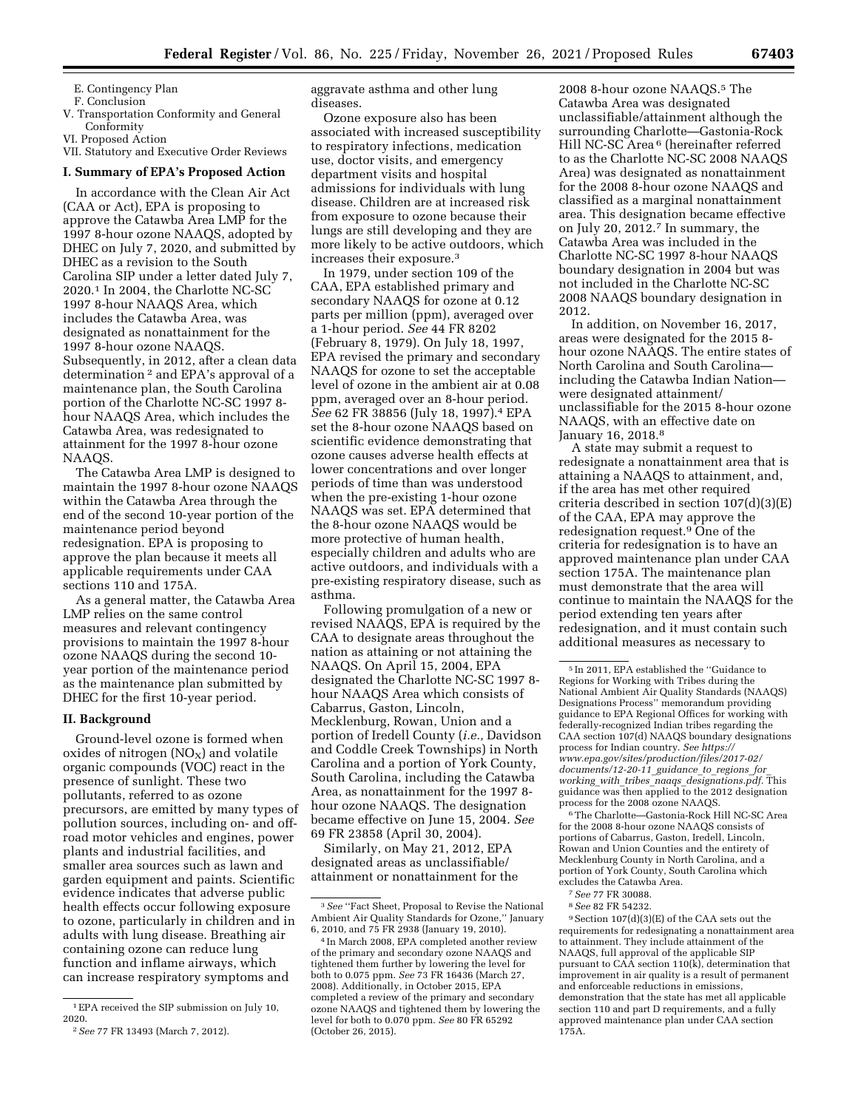E. Contingency Plan

F. Conclusion

V. Transportation Conformity and General Conformity

VI. Proposed Action

VII. Statutory and Executive Order Reviews

#### **I. Summary of EPA's Proposed Action**

In accordance with the Clean Air Act (CAA or Act), EPA is proposing to approve the Catawba Area LMP for the 1997 8-hour ozone NAAQS, adopted by DHEC on July 7, 2020, and submitted by DHEC as a revision to the South Carolina SIP under a letter dated July 7, 2020.1 In 2004, the Charlotte NC-SC 1997 8-hour NAAQS Area, which includes the Catawba Area, was designated as nonattainment for the 1997 8-hour ozone NAAQS. Subsequently, in 2012, after a clean data determination 2 and EPA's approval of a maintenance plan, the South Carolina portion of the Charlotte NC-SC 1997 8 hour NAAQS Area, which includes the Catawba Area, was redesignated to attainment for the 1997 8-hour ozone NAAQS.

The Catawba Area LMP is designed to maintain the 1997 8-hour ozone NAAQS within the Catawba Area through the end of the second 10-year portion of the maintenance period beyond redesignation. EPA is proposing to approve the plan because it meets all applicable requirements under CAA sections 110 and 175A.

As a general matter, the Catawba Area LMP relies on the same control measures and relevant contingency provisions to maintain the 1997 8-hour ozone NAAQS during the second 10 year portion of the maintenance period as the maintenance plan submitted by DHEC for the first 10-year period.

#### **II. Background**

Ground-level ozone is formed when oxides of nitrogen  $(NO<sub>X</sub>)$  and volatile organic compounds (VOC) react in the presence of sunlight. These two pollutants, referred to as ozone precursors, are emitted by many types of pollution sources, including on- and offroad motor vehicles and engines, power plants and industrial facilities, and smaller area sources such as lawn and garden equipment and paints. Scientific evidence indicates that adverse public health effects occur following exposure to ozone, particularly in children and in adults with lung disease. Breathing air containing ozone can reduce lung function and inflame airways, which can increase respiratory symptoms and

aggravate asthma and other lung diseases.

Ozone exposure also has been associated with increased susceptibility to respiratory infections, medication use, doctor visits, and emergency department visits and hospital admissions for individuals with lung disease. Children are at increased risk from exposure to ozone because their lungs are still developing and they are more likely to be active outdoors, which increases their exposure.3

In 1979, under section 109 of the CAA, EPA established primary and secondary NAAQS for ozone at 0.12 parts per million (ppm), averaged over a 1-hour period. *See* 44 FR 8202 (February 8, 1979). On July 18, 1997, EPA revised the primary and secondary NAAQS for ozone to set the acceptable level of ozone in the ambient air at 0.08 ppm, averaged over an 8-hour period. *See* 62 FR 38856 (July 18, 1997).4 EPA set the 8-hour ozone NAAQS based on scientific evidence demonstrating that ozone causes adverse health effects at lower concentrations and over longer periods of time than was understood when the pre-existing 1-hour ozone NAAQS was set. EPA determined that the 8-hour ozone NAAQS would be more protective of human health, especially children and adults who are active outdoors, and individuals with a pre-existing respiratory disease, such as asthma.

Following promulgation of a new or revised NAAQS, EPA is required by the CAA to designate areas throughout the nation as attaining or not attaining the NAAQS. On April 15, 2004, EPA designated the Charlotte NC-SC 1997 8 hour NAAQS Area which consists of Cabarrus, Gaston, Lincoln, Mecklenburg, Rowan, Union and a portion of Iredell County (*i.e.,* Davidson and Coddle Creek Townships) in North Carolina and a portion of York County, South Carolina, including the Catawba Area, as nonattainment for the 1997 8 hour ozone NAAQS. The designation became effective on June 15, 2004. *See*  69 FR 23858 (April 30, 2004).

Similarly, on May 21, 2012, EPA designated areas as unclassifiable/ attainment or nonattainment for the

2008 8-hour ozone NAAQS.5 The Catawba Area was designated unclassifiable/attainment although the surrounding Charlotte—Gastonia-Rock Hill NC-SC Area 6 (hereinafter referred to as the Charlotte NC-SC 2008 NAAQS Area) was designated as nonattainment for the 2008 8-hour ozone NAAQS and classified as a marginal nonattainment area. This designation became effective on July 20, 2012.7 In summary, the Catawba Area was included in the Charlotte NC-SC 1997 8-hour NAAQS boundary designation in 2004 but was not included in the Charlotte NC-SC 2008 NAAQS boundary designation in 2012.

In addition, on November 16, 2017, areas were designated for the 2015 8 hour ozone NAAQS. The entire states of North Carolina and South Carolina including the Catawba Indian Nation were designated attainment/ unclassifiable for the 2015 8-hour ozone NAAQS, with an effective date on January 16, 2018.8

A state may submit a request to redesignate a nonattainment area that is attaining a NAAQS to attainment, and, if the area has met other required criteria described in section 107(d)(3)(E) of the CAA, EPA may approve the redesignation request.9 One of the criteria for redesignation is to have an approved maintenance plan under CAA section 175A. The maintenance plan must demonstrate that the area will continue to maintain the NAAQS for the period extending ten years after redesignation, and it must contain such additional measures as necessary to

6The Charlotte—Gastonia-Rock Hill NC-SC Area for the 2008 8-hour ozone NAAQS consists of portions of Cabarrus, Gaston, Iredell, Lincoln, Rowan and Union Counties and the entirety of Mecklenburg County in North Carolina, and a portion of York County, South Carolina which excludes the Catawba Area.

9Section 107(d)(3)(E) of the CAA sets out the requirements for redesignating a nonattainment area to attainment. They include attainment of the NAAQS, full approval of the applicable SIP pursuant to CAA section 110(k), determination that improvement in air quality is a result of permanent and enforceable reductions in emissions, demonstration that the state has met all applicable section 110 and part D requirements, and a fully approved maintenance plan under CAA section 175A.

 $^{\rm 1}$  EPA received the SIP submission on July 10, 2020.

<sup>2</sup>*See* 77 FR 13493 (March 7, 2012).

<sup>3</sup>*See* ''Fact Sheet, Proposal to Revise the National Ambient Air Quality Standards for Ozone,'' January 6, 2010, and 75 FR 2938 (January 19, 2010).

<sup>4</sup> In March 2008, EPA completed another review of the primary and secondary ozone NAAQS and tightened them further by lowering the level for both to 0.075 ppm. *See* 73 FR 16436 (March 27, 2008). Additionally, in October 2015, EPA completed a review of the primary and secondary ozone NAAQS and tightened them by lowering the level for both to 0.070 ppm. *See* 80 FR 65292 (October 26, 2015).

<sup>5</sup> In 2011, EPA established the ''Guidance to Regions for Working with Tribes during the National Ambient Air Quality Standards (NAAQS) Designations Process'' memorandum providing guidance to EPA Regional Offices for working with federally-recognized Indian tribes regarding the CAA section 107(d) NAAQS boundary designations process for Indian country. *See [https://](https://www.epa.gov/sites/production/files/2017-02/documents/12-20-11_guidance_to_regions_for_working_with_tribes_naaqs_designations.pdf) [www.epa.gov/sites/production/files/2017-02/](https://www.epa.gov/sites/production/files/2017-02/documents/12-20-11_guidance_to_regions_for_working_with_tribes_naaqs_designations.pdf) [documents/12-20-11](https://www.epa.gov/sites/production/files/2017-02/documents/12-20-11_guidance_to_regions_for_working_with_tribes_naaqs_designations.pdf)*\_*guidance*\_*to*\_*regions*\_*for*\_ *working*\_*with*\_*tribes*\_*naaqs*\_*[designations.pdf.](https://www.epa.gov/sites/production/files/2017-02/documents/12-20-11_guidance_to_regions_for_working_with_tribes_naaqs_designations.pdf)* This guidance was then applied to the 2012 designation process for the 2008 ozone NAAQS.

<sup>7</sup>*See* 77 FR 30088.

<sup>8</sup>*See* 82 FR 54232.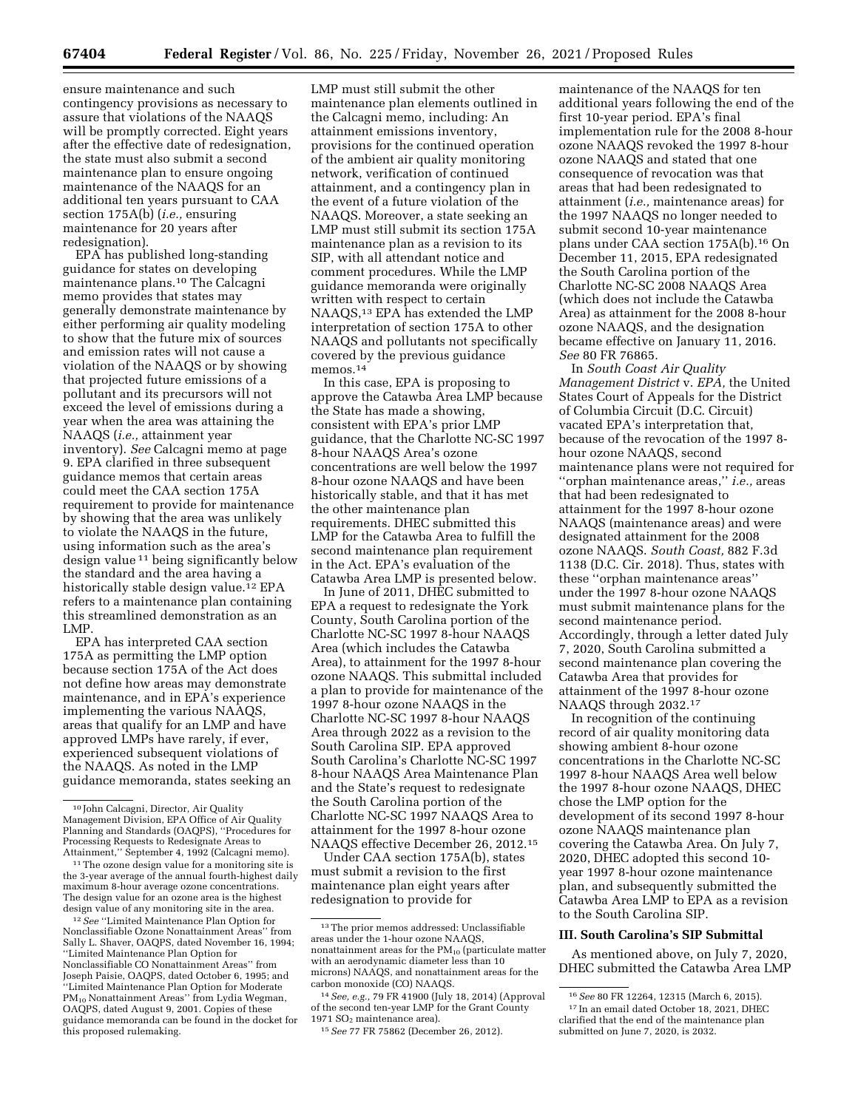ensure maintenance and such contingency provisions as necessary to assure that violations of the NAAQS will be promptly corrected. Eight years after the effective date of redesignation, the state must also submit a second maintenance plan to ensure ongoing maintenance of the NAAQS for an additional ten years pursuant to CAA section 175A(b) (*i.e.,* ensuring maintenance for 20 years after redesignation).

EPA has published long-standing guidance for states on developing maintenance plans.10 The Calcagni memo provides that states may generally demonstrate maintenance by either performing air quality modeling to show that the future mix of sources and emission rates will not cause a violation of the NAAQS or by showing that projected future emissions of a pollutant and its precursors will not exceed the level of emissions during a year when the area was attaining the NAAQS (*i.e.,* attainment year inventory). *See* Calcagni memo at page 9. EPA clarified in three subsequent guidance memos that certain areas could meet the CAA section 175A requirement to provide for maintenance by showing that the area was unlikely to violate the NAAQS in the future, using information such as the area's design value 11 being significantly below the standard and the area having a historically stable design value.<sup>12</sup> EPA refers to a maintenance plan containing this streamlined demonstration as an LMP.

EPA has interpreted CAA section 175A as permitting the LMP option because section 175A of the Act does not define how areas may demonstrate maintenance, and in EPA's experience implementing the various NAAQS, areas that qualify for an LMP and have approved LMPs have rarely, if ever, experienced subsequent violations of the NAAQS. As noted in the LMP guidance memoranda, states seeking an

Nonclassifiable Ozone Nonattainment Areas'' from Sally L. Shaver, OAQPS, dated November 16, 1994; ''Limited Maintenance Plan Option for Nonclassifiable CO Nonattainment Areas'' from Joseph Paisie, OAQPS, dated October 6, 1995; and ''Limited Maintenance Plan Option for Moderate PM<sub>10</sub> Nonattainment Areas" from Lydia Wegman, OAQPS, dated August 9, 2001. Copies of these guidance memoranda can be found in the docket for this proposed rulemaking.

LMP must still submit the other maintenance plan elements outlined in the Calcagni memo, including: An attainment emissions inventory, provisions for the continued operation of the ambient air quality monitoring network, verification of continued attainment, and a contingency plan in the event of a future violation of the NAAQS. Moreover, a state seeking an LMP must still submit its section 175A maintenance plan as a revision to its SIP, with all attendant notice and comment procedures. While the LMP guidance memoranda were originally written with respect to certain NAAQS,13 EPA has extended the LMP interpretation of section 175A to other NAAQS and pollutants not specifically covered by the previous guidance memos.14

In this case, EPA is proposing to approve the Catawba Area LMP because the State has made a showing, consistent with EPA's prior LMP guidance, that the Charlotte NC-SC 1997 8-hour NAAQS Area's ozone concentrations are well below the 1997 8-hour ozone NAAQS and have been historically stable, and that it has met the other maintenance plan requirements. DHEC submitted this LMP for the Catawba Area to fulfill the second maintenance plan requirement in the Act. EPA's evaluation of the Catawba Area LMP is presented below.

In June of 2011, DHEC submitted to EPA a request to redesignate the York County, South Carolina portion of the Charlotte NC-SC 1997 8-hour NAAQS Area (which includes the Catawba Area), to attainment for the 1997 8-hour ozone NAAQS. This submittal included a plan to provide for maintenance of the 1997 8-hour ozone NAAQS in the Charlotte NC-SC 1997 8-hour NAAQS Area through 2022 as a revision to the South Carolina SIP. EPA approved South Carolina's Charlotte NC-SC 1997 8-hour NAAQS Area Maintenance Plan and the State's request to redesignate the South Carolina portion of the Charlotte NC-SC 1997 NAAQS Area to attainment for the 1997 8-hour ozone NAAQS effective December 26, 2012.15

Under CAA section 175A(b), states must submit a revision to the first maintenance plan eight years after redesignation to provide for

14*See, e.g.,* 79 FR 41900 (July 18, 2014) (Approval of the second ten-year LMP for the Grant County 1971  $SO<sub>2</sub>$  maintenance area).

maintenance of the NAAQS for ten additional years following the end of the first 10-year period. EPA's final implementation rule for the 2008 8-hour ozone NAAQS revoked the 1997 8-hour ozone NAAQS and stated that one consequence of revocation was that areas that had been redesignated to attainment (*i.e.,* maintenance areas) for the 1997 NAAQS no longer needed to submit second 10-year maintenance plans under CAA section 175A(b).16 On December 11, 2015, EPA redesignated the South Carolina portion of the Charlotte NC-SC 2008 NAAQS Area (which does not include the Catawba Area) as attainment for the 2008 8-hour ozone NAAQS, and the designation became effective on January 11, 2016. *See* 80 FR 76865.

In *South Coast Air Quality Management District* v. *EPA,* the United States Court of Appeals for the District of Columbia Circuit (D.C. Circuit) vacated EPA's interpretation that, because of the revocation of the 1997 8 hour ozone NAAQS, second maintenance plans were not required for ''orphan maintenance areas,'' *i.e.,* areas that had been redesignated to attainment for the 1997 8-hour ozone NAAQS (maintenance areas) and were designated attainment for the 2008 ozone NAAQS. *South Coast,* 882 F.3d 1138 (D.C. Cir. 2018). Thus, states with these ''orphan maintenance areas'' under the 1997 8-hour ozone NAAQS must submit maintenance plans for the second maintenance period. Accordingly, through a letter dated July 7, 2020, South Carolina submitted a second maintenance plan covering the Catawba Area that provides for attainment of the 1997 8-hour ozone NAAQS through 2032.17

In recognition of the continuing record of air quality monitoring data showing ambient 8-hour ozone concentrations in the Charlotte NC-SC 1997 8-hour NAAQS Area well below the 1997 8-hour ozone NAAQS, DHEC chose the LMP option for the development of its second 1997 8-hour ozone NAAQS maintenance plan covering the Catawba Area. On July 7, 2020, DHEC adopted this second 10 year 1997 8-hour ozone maintenance plan, and subsequently submitted the Catawba Area LMP to EPA as a revision to the South Carolina SIP.

### **III. South Carolina's SIP Submittal**

As mentioned above, on July 7, 2020, DHEC submitted the Catawba Area LMP

<sup>10</sup> John Calcagni, Director, Air Quality Management Division, EPA Office of Air Quality Planning and Standards (OAQPS), ''Procedures for Processing Requests to Redesignate Areas to<br>Attainment," September 4, 1992 (Calcagni memo).

<sup>&</sup>lt;sup>11</sup> The ozone design value for a monitoring site is the 3-year average of the annual fourth-highest daily maximum 8-hour average ozone concentrations. The design value for an ozone area is the highest design value of any monitoring site in the area. 12*See* ''Limited Maintenance Plan Option for

<sup>13</sup>The prior memos addressed: Unclassifiable areas under the 1-hour ozone NAAQS, nonattainment areas for the  $PM_{10}$  (particulate matter with an aerodynamic diameter less than 10 microns) NAAQS, and nonattainment areas for the carbon monoxide (CO) NAAQS.

<sup>15</sup>*See* 77 FR 75862 (December 26, 2012).

<sup>16</sup>*See* 80 FR 12264, 12315 (March 6, 2015). 17 In an email dated October 18, 2021, DHEC clarified that the end of the maintenance plan submitted on June 7, 2020, is 2032.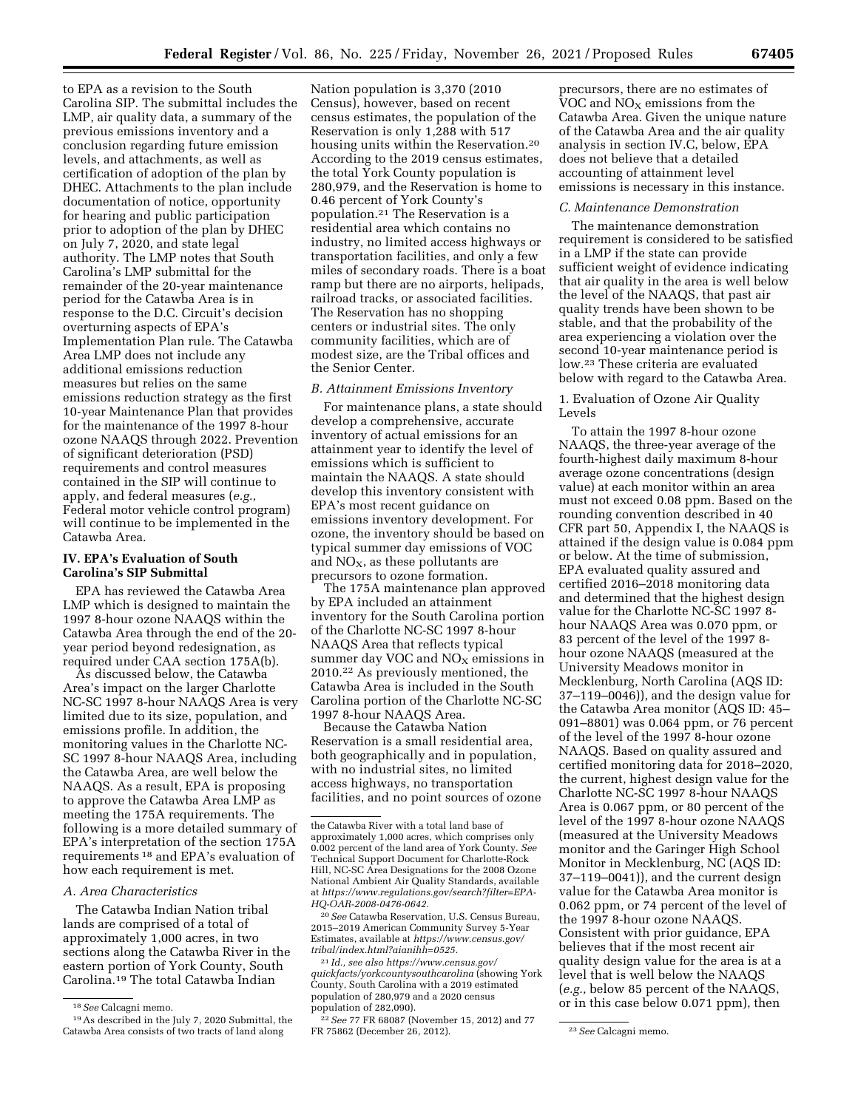to EPA as a revision to the South Carolina SIP. The submittal includes the LMP, air quality data, a summary of the previous emissions inventory and a conclusion regarding future emission levels, and attachments, as well as certification of adoption of the plan by DHEC. Attachments to the plan include documentation of notice, opportunity for hearing and public participation prior to adoption of the plan by DHEC on July 7, 2020, and state legal authority. The LMP notes that South Carolina's LMP submittal for the remainder of the 20-year maintenance period for the Catawba Area is in response to the D.C. Circuit's decision overturning aspects of EPA's Implementation Plan rule. The Catawba Area LMP does not include any additional emissions reduction measures but relies on the same emissions reduction strategy as the first 10-year Maintenance Plan that provides for the maintenance of the 1997 8-hour ozone NAAQS through 2022. Prevention of significant deterioration (PSD) requirements and control measures contained in the SIP will continue to apply, and federal measures (*e.g.,*  Federal motor vehicle control program) will continue to be implemented in the Catawba Area.

# **IV. EPA's Evaluation of South Carolina's SIP Submittal**

EPA has reviewed the Catawba Area LMP which is designed to maintain the 1997 8-hour ozone NAAQS within the Catawba Area through the end of the 20 year period beyond redesignation, as required under CAA section 175A(b).

As discussed below, the Catawba Area's impact on the larger Charlotte NC-SC 1997 8-hour NAAQS Area is very limited due to its size, population, and emissions profile. In addition, the monitoring values in the Charlotte NC-SC 1997 8-hour NAAQS Area, including the Catawba Area, are well below the NAAQS. As a result, EPA is proposing to approve the Catawba Area LMP as meeting the 175A requirements. The following is a more detailed summary of EPA's interpretation of the section 175A requirements 18 and EPA's evaluation of how each requirement is met.

# *A. Area Characteristics*

The Catawba Indian Nation tribal lands are comprised of a total of approximately 1,000 acres, in two sections along the Catawba River in the eastern portion of York County, South Carolina.19 The total Catawba Indian

Nation population is 3,370 (2010 Census), however, based on recent census estimates, the population of the Reservation is only 1,288 with 517 housing units within the Reservation.20 According to the 2019 census estimates, the total York County population is 280,979, and the Reservation is home to 0.46 percent of York County's population.21 The Reservation is a residential area which contains no industry, no limited access highways or transportation facilities, and only a few miles of secondary roads. There is a boat ramp but there are no airports, helipads, railroad tracks, or associated facilities. The Reservation has no shopping centers or industrial sites. The only community facilities, which are of modest size, are the Tribal offices and the Senior Center.

# *B. Attainment Emissions Inventory*

For maintenance plans, a state should develop a comprehensive, accurate inventory of actual emissions for an attainment year to identify the level of emissions which is sufficient to maintain the NAAQS. A state should develop this inventory consistent with EPA's most recent guidance on emissions inventory development. For ozone, the inventory should be based on typical summer day emissions of VOC and  $NO<sub>X</sub>$ , as these pollutants are precursors to ozone formation.

The 175A maintenance plan approved by EPA included an attainment inventory for the South Carolina portion of the Charlotte NC-SC 1997 8-hour NAAQS Area that reflects typical summer day VOC and  $NO<sub>X</sub>$  emissions in 2010.22 As previously mentioned, the Catawba Area is included in the South Carolina portion of the Charlotte NC-SC 1997 8-hour NAAQS Area.

Because the Catawba Nation Reservation is a small residential area, both geographically and in population, with no industrial sites, no limited access highways, no transportation facilities, and no point sources of ozone

20*See* Catawba Reservation, U.S. Census Bureau, 2015–2019 American Community Survey 5-Year Estimates, available at *[https://www.census.gov/](https://www.census.gov/tribal/index.html?aianihh=0525) [tribal/index.html?aianihh=0525.](https://www.census.gov/tribal/index.html?aianihh=0525)* 

21 *Id., see also [https://www.census.gov/](https://www.census.gov/quickfacts/yorkcountysouthcarolina)  [quickfacts/yorkcountysouthcarolina](https://www.census.gov/quickfacts/yorkcountysouthcarolina)* (showing York County, South Carolina with a 2019 estimated population of 280,979 and a 2020 census population of 282,090).

22*See* 77 FR 68087 (November 15, 2012) and 77 FR 75862 (December 26, 2012). 23*See* Calcagni memo.

precursors, there are no estimates of VOC and  $\rm{NO_{X}}$  emissions from the Catawba Area. Given the unique nature of the Catawba Area and the air quality analysis in section IV.C, below, EPA does not believe that a detailed accounting of attainment level emissions is necessary in this instance.

# *C. Maintenance Demonstration*

The maintenance demonstration requirement is considered to be satisfied in a LMP if the state can provide sufficient weight of evidence indicating that air quality in the area is well below the level of the NAAQS, that past air quality trends have been shown to be stable, and that the probability of the area experiencing a violation over the second 10-year maintenance period is low.23 These criteria are evaluated below with regard to the Catawba Area.

# 1. Evaluation of Ozone Air Quality Levels

To attain the 1997 8-hour ozone NAAQS, the three-year average of the fourth-highest daily maximum 8-hour average ozone concentrations (design value) at each monitor within an area must not exceed 0.08 ppm. Based on the rounding convention described in 40 CFR part 50, Appendix I, the NAAQS is attained if the design value is 0.084 ppm or below. At the time of submission, EPA evaluated quality assured and certified 2016–2018 monitoring data and determined that the highest design value for the Charlotte NC-SC 1997 8 hour NAAQS Area was 0.070 ppm, or 83 percent of the level of the 1997 8 hour ozone NAAQS (measured at the University Meadows monitor in Mecklenburg, North Carolina (AQS ID: 37–119–0046)), and the design value for the Catawba Area monitor (AQS ID: 45– 091–8801) was 0.064 ppm, or 76 percent of the level of the 1997 8-hour ozone NAAQS. Based on quality assured and certified monitoring data for 2018–2020, the current, highest design value for the Charlotte NC-SC 1997 8-hour NAAQS Area is 0.067 ppm, or 80 percent of the level of the 1997 8-hour ozone NAAQS (measured at the University Meadows monitor and the Garinger High School Monitor in Mecklenburg, NC (AQS ID: 37–119–0041)), and the current design value for the Catawba Area monitor is 0.062 ppm, or 74 percent of the level of the 1997 8-hour ozone NAAQS. Consistent with prior guidance, EPA believes that if the most recent air quality design value for the area is at a level that is well below the NAAQS (*e.g.,* below 85 percent of the NAAQS, or in this case below 0.071 ppm), then

<sup>18</sup>*See* Calcagni memo.

<sup>19</sup>As described in the July 7, 2020 Submittal, the Catawba Area consists of two tracts of land along

the Catawba River with a total land base of approximately 1,000 acres, which comprises only 0.002 percent of the land area of York County. *See*  Technical Support Document for Charlotte-Rock Hill, NC-SC Area Designations for the 2008 Ozone National Ambient Air Quality Standards, available at *[https://www.regulations.gov/search?filter=EPA-](https://www.regulations.gov/search?filter=EPA-HQ-OAR-2008-0476-0642)[HQ-OAR-2008-0476-0642.](https://www.regulations.gov/search?filter=EPA-HQ-OAR-2008-0476-0642)*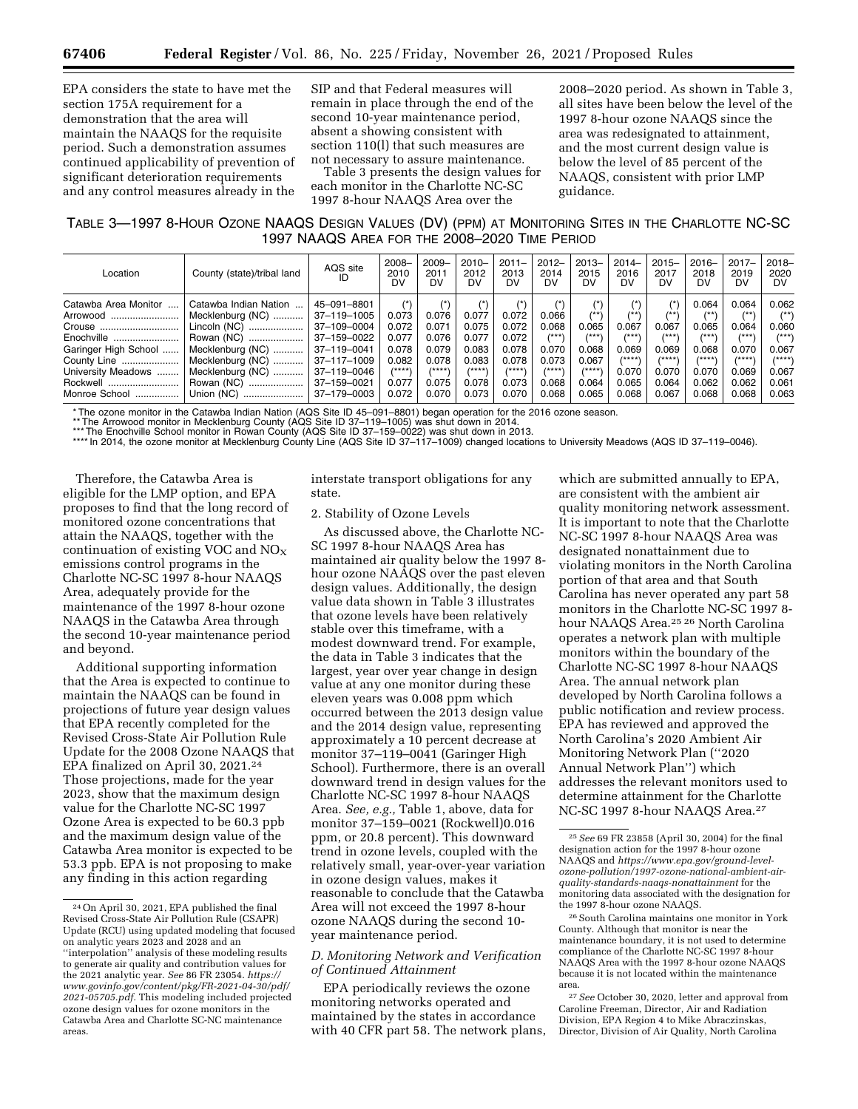EPA considers the state to have met the section 175A requirement for a demonstration that the area will maintain the NAAQS for the requisite period. Such a demonstration assumes continued applicability of prevention of significant deterioration requirements and any control measures already in the

SIP and that Federal measures will remain in place through the end of the second 10-year maintenance period, absent a showing consistent with section 110(l) that such measures are not necessary to assure maintenance.

Table 3 presents the design values for each monitor in the Charlotte NC-SC 1997 8-hour NAAQS Area over the

2008–2020 period. As shown in Table 3, all sites have been below the level of the 1997 8-hour ozone NAAQS since the area was redesignated to attainment, and the most current design value is below the level of 85 percent of the NAAQS, consistent with prior LMP guidance.

TABLE 3—1997 8-HOUR OZONE NAAQS DESIGN VALUES (DV) (PPM) AT MONITORING SITES IN THE CHARLOTTE NC-SC 1997 NAAQS AREA FOR THE 2008–2020 TIME PERIOD

| Location             | County (state)/tribal land | AQS site<br>ID | $2008 -$<br>2010<br>DV | $2009 -$<br>2011<br>DV | $2010 -$<br>2012<br>DV | $2011 -$<br>2013<br>DV | $2012 -$<br>2014<br>DV | $2013 -$<br>2015<br>DV | $2014-$<br>2016<br>DV | $2015 -$<br>2017<br>DV | $2016 -$<br>2018<br>DV | $2017 -$<br>2019<br>DV | $2018 -$<br>2020<br>DV |
|----------------------|----------------------------|----------------|------------------------|------------------------|------------------------|------------------------|------------------------|------------------------|-----------------------|------------------------|------------------------|------------------------|------------------------|
| Catawba Area Monitor | Catawba Indian Nation      | 45-091-8801    | $(*)$                  |                        |                        | 4 <sup>†</sup>         | 4 <sup>2</sup>         | 4 <sup>k</sup>         | $(*)$                 | $(*)$                  | 0.064                  | 0.064                  | 0.062                  |
| Arrowood             | Mecklenburg (NC)           | 37-119-1005    | 0.073                  | 0.076                  | 0.077                  | 0.072                  | 0.066                  | $4*1$                  | $4*$                  | $1*1$                  | $4*$                   | $4*$                   | $(x*)$                 |
| Crouse               | Lincoln (NC)               | 37-109-0004    | 0.072                  | 0.071                  | 0.075                  | 0.072                  | 0.068                  | 0.065                  | 0.067                 | 0.067                  | 0.065                  | 0.064                  | 0.060                  |
| Enochville           | Rowan (NC)                 | 37-159-0022    | 0.077                  | 0.076                  | 0.077                  | 0.072                  | $1***$                 | $1***$                 | /***\                 | /***\                  | /***                   | $1 + + +$              | $#**$                  |
| Garinger High School | Mecklenburg (NC)           | 37-119-0041    | 0.078                  | 0.079                  | 0.083                  | 0.078                  | 0.070                  | 0.068                  | 0.069                 | 0.069                  | 0.068                  | 0.070                  | 0.067                  |
| County Line          | Mecklenburg (NC)           | 37-117-1009    | 0.082                  | 0.078                  | 0.083                  | 0.078                  | 0.073                  | 0.067                  | /****\                | $1$ ****               | /****                  | /****'                 | /****'                 |
| University Meadows   | Mecklenburg (NC)           | 37-119-0046    | /****'                 | /****'                 | /****                  | $1 + + + +$            | /****'                 | /****'                 | 0.070                 | 0.070                  | 0.070                  | 0.069                  | 0.067                  |
| Rockwell             | Rowan (NC)                 | 37-159-0021    | 0.077                  | 0.075                  | 0.078                  | 0.073                  | 0.068                  | 0.064                  | 0.065                 | 0.064                  | 0.062                  | 0.062                  | 0.061                  |
| Monroe School        | Union (NC)<br>             | 37-179-0003    | 0.072                  | 0.070                  | 0.073                  | 0.070                  | 0.068                  | 0.065                  | 0.068                 | 0.067                  | 0.068                  | 0.068                  | 0.063                  |

\*The ozone monitor in the Catawba Indian Nation (AQS Site ID 45–091–8801) began operation for the 2016 ozone season.<br>\*\*The Arrowood monitor in Mecklenburg County (AQS Site ID 37–119–1005) was shut down in 2014.<br>\*\*\*The Enoc

Therefore, the Catawba Area is eligible for the LMP option, and EPA proposes to find that the long record of monitored ozone concentrations that attain the NAAQS, together with the continuation of existing VOC and  $NO<sub>X</sub>$ emissions control programs in the Charlotte NC-SC 1997 8-hour NAAQS Area, adequately provide for the maintenance of the 1997 8-hour ozone NAAQS in the Catawba Area through the second 10-year maintenance period and beyond.

Additional supporting information that the Area is expected to continue to maintain the NAAQS can be found in projections of future year design values that EPA recently completed for the Revised Cross-State Air Pollution Rule Update for the 2008 Ozone NAAQS that EPA finalized on April 30, 2021.24 Those projections, made for the year 2023, show that the maximum design value for the Charlotte NC-SC 1997 Ozone Area is expected to be 60.3 ppb and the maximum design value of the Catawba Area monitor is expected to be 53.3 ppb. EPA is not proposing to make any finding in this action regarding

interstate transport obligations for any state.

# 2. Stability of Ozone Levels

As discussed above, the Charlotte NC-SC 1997 8-hour NAAQS Area has maintained air quality below the 1997 8 hour ozone NAAQS over the past eleven design values. Additionally, the design value data shown in Table 3 illustrates that ozone levels have been relatively stable over this timeframe, with a modest downward trend. For example, the data in Table 3 indicates that the largest, year over year change in design value at any one monitor during these eleven years was 0.008 ppm which occurred between the 2013 design value and the 2014 design value, representing approximately a 10 percent decrease at monitor 37–119–0041 (Garinger High School). Furthermore, there is an overall downward trend in design values for the Charlotte NC-SC 1997 8-hour NAAQS Area. *See, e.g.,* Table 1, above, data for monitor 37–159–0021 (Rockwell)0.016 ppm, or 20.8 percent). This downward trend in ozone levels, coupled with the relatively small, year-over-year variation in ozone design values, makes it reasonable to conclude that the Catawba Area will not exceed the 1997 8-hour ozone NAAQS during the second 10 year maintenance period.

# *D. Monitoring Network and Verification of Continued Attainment*

EPA periodically reviews the ozone monitoring networks operated and maintained by the states in accordance with 40 CFR part 58. The network plans,

which are submitted annually to EPA, are consistent with the ambient air quality monitoring network assessment. It is important to note that the Charlotte NC-SC 1997 8-hour NAAQS Area was designated nonattainment due to violating monitors in the North Carolina portion of that area and that South Carolina has never operated any part 58 monitors in the Charlotte NC-SC 1997 8 hour NAAQS Area.25 26 North Carolina operates a network plan with multiple monitors within the boundary of the Charlotte NC-SC 1997 8-hour NAAQS Area. The annual network plan developed by North Carolina follows a public notification and review process. EPA has reviewed and approved the North Carolina's 2020 Ambient Air Monitoring Network Plan (''2020 Annual Network Plan'') which addresses the relevant monitors used to determine attainment for the Charlotte NC-SC 1997 8-hour NAAQS Area.27

27*See* October 30, 2020, letter and approval from Caroline Freeman, Director, Air and Radiation Division, EPA Region 4 to Mike Abraczinskas, Director, Division of Air Quality, North Carolina

<sup>24</sup>On April 30, 2021, EPA published the final Revised Cross-State Air Pollution Rule (CSAPR) Update (RCU) using updated modeling that focused on analytic years 2023 and 2028 and an ''interpolation'' analysis of these modeling results to generate air quality and contribution values for the 2021 analytic year. *See* 86 FR 23054. *[https://](https://www.govinfo.gov/content/pkg/FR-2021-04-30/pdf/2021-05705.pdf) [www.govinfo.gov/content/pkg/FR-2021-04-30/pdf/](https://www.govinfo.gov/content/pkg/FR-2021-04-30/pdf/2021-05705.pdf)  [2021-05705.pdf.](https://www.govinfo.gov/content/pkg/FR-2021-04-30/pdf/2021-05705.pdf)* This modeling included projected ozone design values for ozone monitors in the Catawba Area and Charlotte SC-NC maintenance areas.

<sup>25</sup>*See* 69 FR 23858 (April 30, 2004) for the final designation action for the 1997 8-hour ozone NAAQS and *[https://www.epa.gov/ground-level](https://www.epa.gov/ground-level-ozone-pollution/1997-ozone-national-ambient-air-quality-standards-naaqs-nonattainment)[ozone-pollution/1997-ozone-national-ambient-air](https://www.epa.gov/ground-level-ozone-pollution/1997-ozone-national-ambient-air-quality-standards-naaqs-nonattainment)[quality-standards-naaqs-nonattainment](https://www.epa.gov/ground-level-ozone-pollution/1997-ozone-national-ambient-air-quality-standards-naaqs-nonattainment)* for the monitoring data associated with the designation for the 1997 8-hour ozone NAAQS.

<sup>26</sup>South Carolina maintains one monitor in York County. Although that monitor is near the maintenance boundary, it is not used to determine compliance of the Charlotte NC-SC 1997 8-hour NAAQS Area with the 1997 8-hour ozone NAAQS because it is not located within the maintenance area.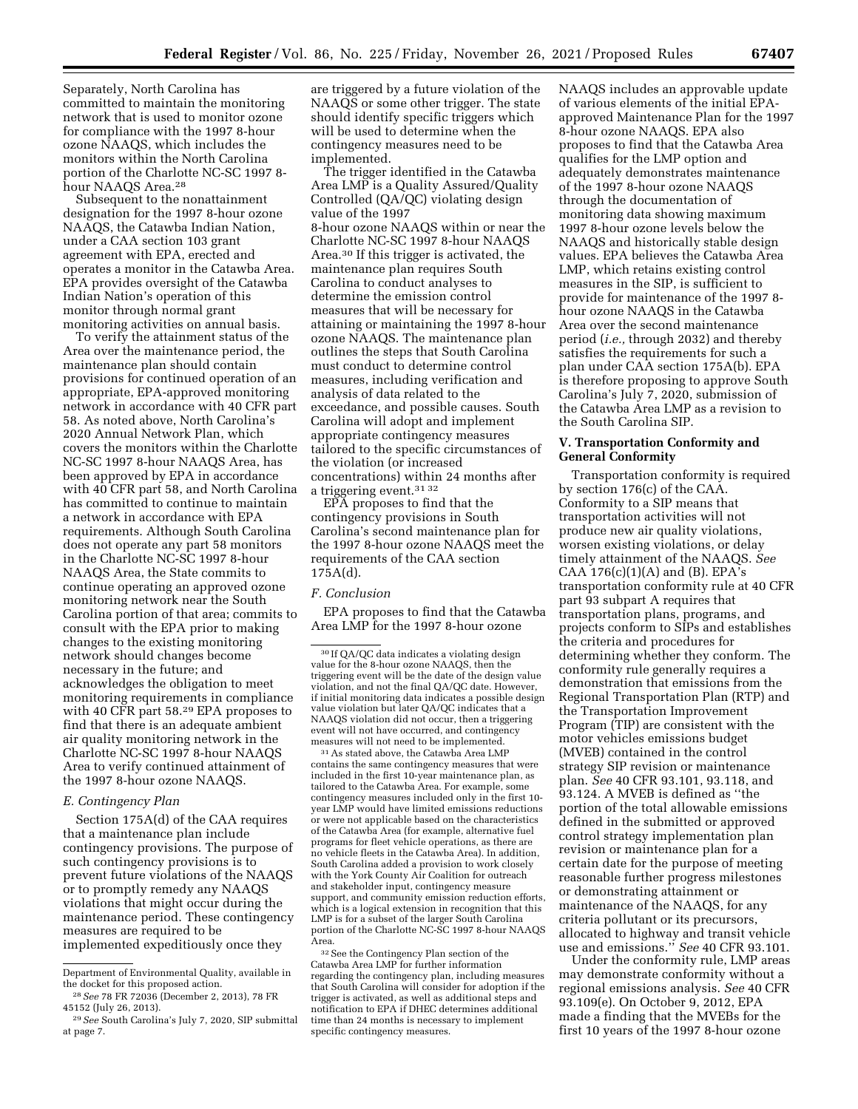Separately, North Carolina has committed to maintain the monitoring network that is used to monitor ozone for compliance with the 1997 8-hour ozone NAAQS, which includes the monitors within the North Carolina portion of the Charlotte NC-SC 1997 8 hour NAAQS Area.<sup>28</sup>

Subsequent to the nonattainment designation for the 1997 8-hour ozone NAAQS, the Catawba Indian Nation, under a CAA section 103 grant agreement with EPA, erected and operates a monitor in the Catawba Area. EPA provides oversight of the Catawba Indian Nation's operation of this monitor through normal grant monitoring activities on annual basis.

To verify the attainment status of the Area over the maintenance period, the maintenance plan should contain provisions for continued operation of an appropriate, EPA-approved monitoring network in accordance with 40 CFR part 58. As noted above, North Carolina's 2020 Annual Network Plan, which covers the monitors within the Charlotte NC-SC 1997 8-hour NAAQS Area, has been approved by EPA in accordance with 40 CFR part 58, and North Carolina has committed to continue to maintain a network in accordance with EPA requirements. Although South Carolina does not operate any part 58 monitors in the Charlotte NC-SC 1997 8-hour NAAQS Area, the State commits to continue operating an approved ozone monitoring network near the South Carolina portion of that area; commits to consult with the EPA prior to making changes to the existing monitoring network should changes become necessary in the future; and acknowledges the obligation to meet monitoring requirements in compliance with 40 CFR part 58.29 EPA proposes to find that there is an adequate ambient air quality monitoring network in the Charlotte NC-SC 1997 8-hour NAAQS Area to verify continued attainment of the 1997 8-hour ozone NAAQS.

## *E. Contingency Plan*

Section 175A(d) of the CAA requires that a maintenance plan include contingency provisions. The purpose of such contingency provisions is to prevent future violations of the NAAQS or to promptly remedy any NAAQS violations that might occur during the maintenance period. These contingency measures are required to be implemented expeditiously once they

are triggered by a future violation of the NAAQS or some other trigger. The state should identify specific triggers which will be used to determine when the contingency measures need to be implemented.

The trigger identified in the Catawba Area LMP is a Quality Assured/Quality Controlled (QA/QC) violating design value of the 1997 8-hour ozone NAAQS within or near the Charlotte NC-SC 1997 8-hour NAAQS Area.30 If this trigger is activated, the maintenance plan requires South Carolina to conduct analyses to determine the emission control measures that will be necessary for attaining or maintaining the 1997 8-hour ozone NAAQS. The maintenance plan outlines the steps that South Carolina must conduct to determine control measures, including verification and analysis of data related to the exceedance, and possible causes. South Carolina will adopt and implement appropriate contingency measures tailored to the specific circumstances of the violation (or increased concentrations) within 24 months after a triggering event.31 32

EPA proposes to find that the contingency provisions in South Carolina's second maintenance plan for the 1997 8-hour ozone NAAQS meet the requirements of the CAA section  $175A(d)$ .

#### *F. Conclusion*

EPA proposes to find that the Catawba Area LMP for the 1997 8-hour ozone

31As stated above, the Catawba Area LMP contains the same contingency measures that were included in the first 10-year maintenance plan, as tailored to the Catawba Area. For example, some contingency measures included only in the first 10 year LMP would have limited emissions reductions or were not applicable based on the characteristics of the Catawba Area (for example, alternative fuel programs for fleet vehicle operations, as there are no vehicle fleets in the Catawba Area). In addition, South Carolina added a provision to work closely with the York County Air Coalition for outreach and stakeholder input, contingency measure support, and community emission reduction efforts, which is a logical extension in recognition that this LMP is for a subset of the larger South Carolina portion of the Charlotte NC-SC 1997 8-hour NAAQS Area.

32See the Contingency Plan section of the Catawba Area LMP for further information regarding the contingency plan, including measures that South Carolina will consider for adoption if the trigger is activated, as well as additional steps and notification to EPA if DHEC determines additional time than 24 months is necessary to implement specific contingency measures.

NAAQS includes an approvable update of various elements of the initial EPAapproved Maintenance Plan for the 1997 8-hour ozone NAAQS. EPA also proposes to find that the Catawba Area qualifies for the LMP option and adequately demonstrates maintenance of the 1997 8-hour ozone NAAQS through the documentation of monitoring data showing maximum 1997 8-hour ozone levels below the NAAQS and historically stable design values. EPA believes the Catawba Area LMP, which retains existing control measures in the SIP, is sufficient to provide for maintenance of the 1997 8 hour ozone NAAQS in the Catawba Area over the second maintenance period (*i.e.,* through 2032) and thereby satisfies the requirements for such a plan under CAA section 175A(b). EPA is therefore proposing to approve South Carolina's July 7, 2020, submission of the Catawba Area LMP as a revision to the South Carolina SIP.

### **V. Transportation Conformity and General Conformity**

Transportation conformity is required by section 176(c) of the CAA. Conformity to a SIP means that transportation activities will not produce new air quality violations, worsen existing violations, or delay timely attainment of the NAAQS. *See*  CAA  $176(c)(1)(A)$  and (B). EPA's transportation conformity rule at 40 CFR part 93 subpart A requires that transportation plans, programs, and projects conform to SIPs and establishes the criteria and procedures for determining whether they conform. The conformity rule generally requires a demonstration that emissions from the Regional Transportation Plan (RTP) and the Transportation Improvement Program (TIP) are consistent with the motor vehicles emissions budget (MVEB) contained in the control strategy SIP revision or maintenance plan. *See* 40 CFR 93.101, 93.118, and 93.124. A MVEB is defined as ''the portion of the total allowable emissions defined in the submitted or approved control strategy implementation plan revision or maintenance plan for a certain date for the purpose of meeting reasonable further progress milestones or demonstrating attainment or maintenance of the NAAQS, for any criteria pollutant or its precursors, allocated to highway and transit vehicle use and emissions.'' *See* 40 CFR 93.101.

Under the conformity rule, LMP areas may demonstrate conformity without a regional emissions analysis. *See* 40 CFR 93.109(e). On October 9, 2012, EPA made a finding that the MVEBs for the first 10 years of the 1997 8-hour ozone

Department of Environmental Quality, available in the docket for this proposed action.

<sup>28</sup>*See* 78 FR 72036 (December 2, 2013), 78 FR 45152 (July 26, 2013).

<sup>29</sup>*See* South Carolina's July 7, 2020, SIP submittal at page 7.

<sup>30</sup> If QA/QC data indicates a violating design value for the 8-hour ozone NAAQS, then the triggering event will be the date of the design value violation, and not the final QA/QC date. However, if initial monitoring data indicates a possible design value violation but later QA/QC indicates that a NAAQS violation did not occur, then a triggering event will not have occurred, and contingency measures will not need to be implemented.